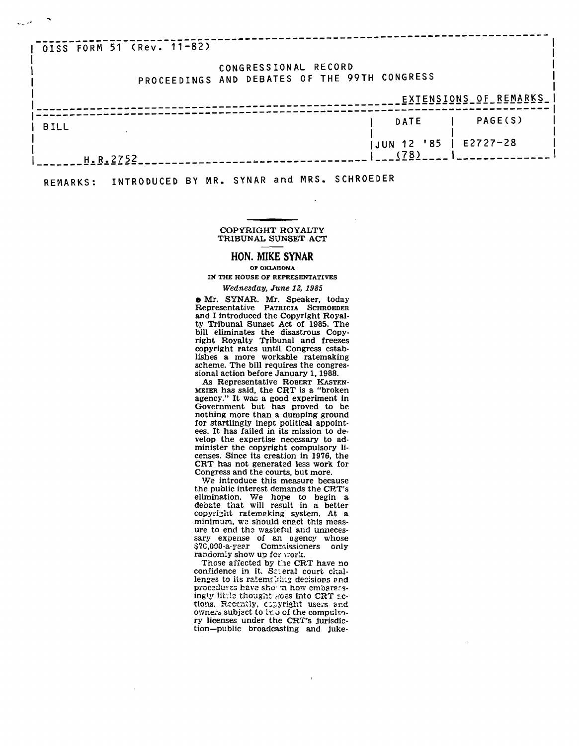| OISS FORM 51 (Rev. 11-82) |                                              |                       |
|---------------------------|----------------------------------------------|-----------------------|
|                           |                                              |                       |
|                           | CONGRESSIONAL RECORD                         |                       |
|                           | PROCEEDINGS AND DEBATES OF THE 99TH CONGRESS |                       |
|                           |                                              |                       |
|                           |                                              | EXTENSIONS OF REMARKS |
|                           |                                              |                       |
|                           | <b>DATE</b>                                  | PAGE(S)               |
| <b>BILL</b>               |                                              |                       |
|                           | JUN 12 '85   E2727-28                        |                       |
|                           | (78)                                         |                       |
| H.R.2752                  |                                              |                       |

REMARKS: INTRODUCED BY MR. SYNAR and MRS. SCHROEDER

مريديا

## COPYRIGHT ROYALTY TRIBUNAL SUNSET ACT

## **HON. MIKE SYNAR**

OF OKLAHOMA IN THE HOUSE OF REPRESENTATIVES

## *Wednesday, June 12, 1985*

e Mr. SYNAR. Mr. Speaker, today Representative PATRICIA SCHROEDER and I introduced the Copyright Royalty Tribunal Sunset Act of 1985. The bill eliminates the disastrous Copyright Royalty Tribunal and freezes copyright rates until Congress establishes a more workable ratemaking scheme. The bill requires the congressional action before January 1,1988.

As Representative ROBERT KASTEN-MEIER has said, the CRT is a "broken agency." It was a good experiment in Government but has proved to be nothing more than a dumping ground for startlingly inept political appointees. It has failed in its mission to develop the expertise necessary to administer the copyright compulsory licenses. Since its creation in 1976, the CRT has not generated less work for Congress and the courts, but more.

We introduce this measure because the public interest demands the CRT's elimination. We hope to begin a debate that will result in a better copyright ratemaking system. At a minimum, we should enact this measure to end the wasteful and unnecessary expense of an agency whose \$7C,000-a-year Commissioners only randomly show up for work.

Those affected by the CRT have no confidence in it. Sr.eral court challenges to its ratemaking decisions and procedures have shown how embaraesingly little thought goes into CRT actions. Recently, capyright users and owners subject to two of the compulsory licenses under the CRT's jurisdiction—public broadcasting and juke-